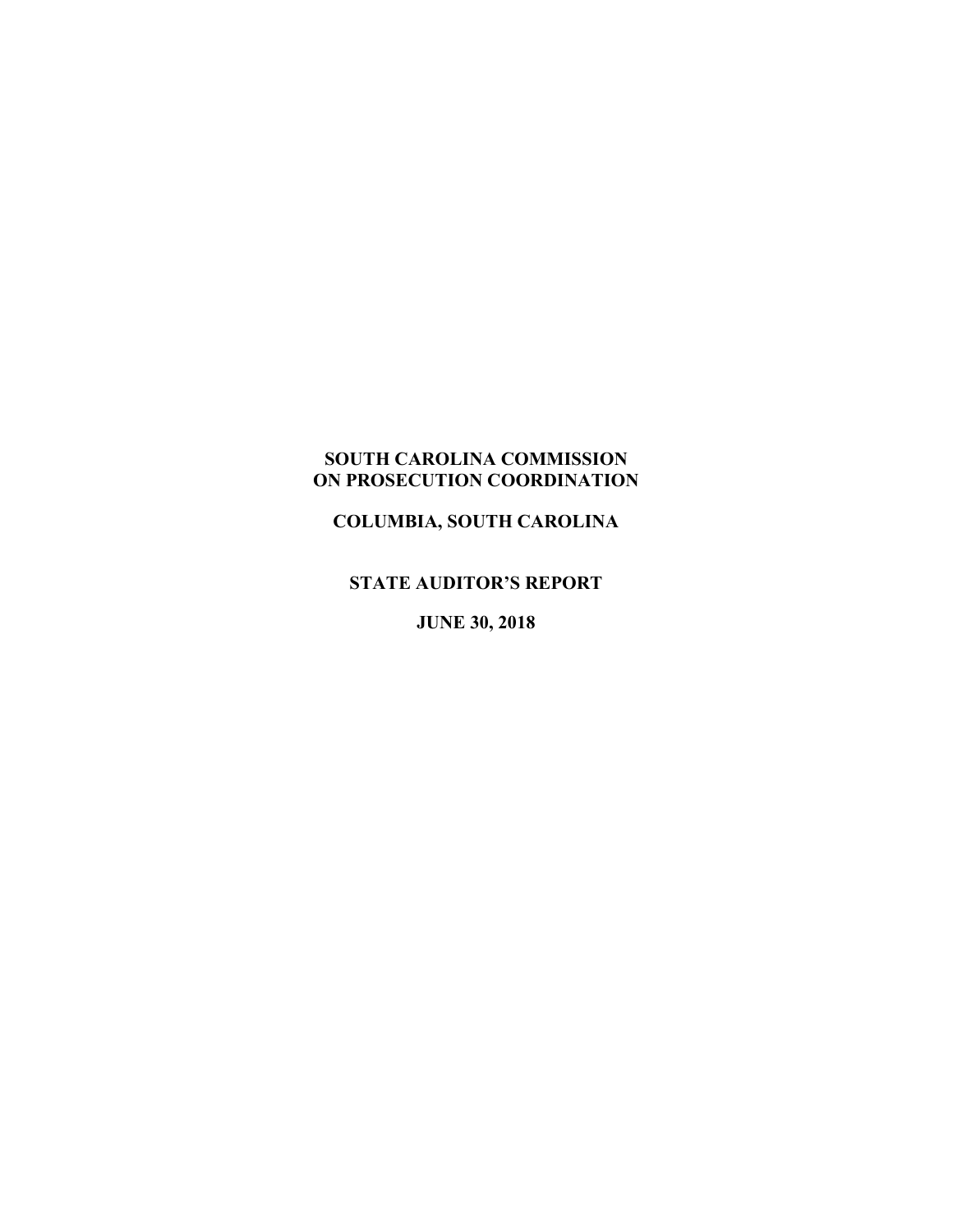# **SOUTH CAROLINA COMMISSION ON PROSECUTION COORDINATION**

**COLUMBIA, SOUTH CAROLINA**

**STATE AUDITOR'S REPORT**

**JUNE 30, 2018**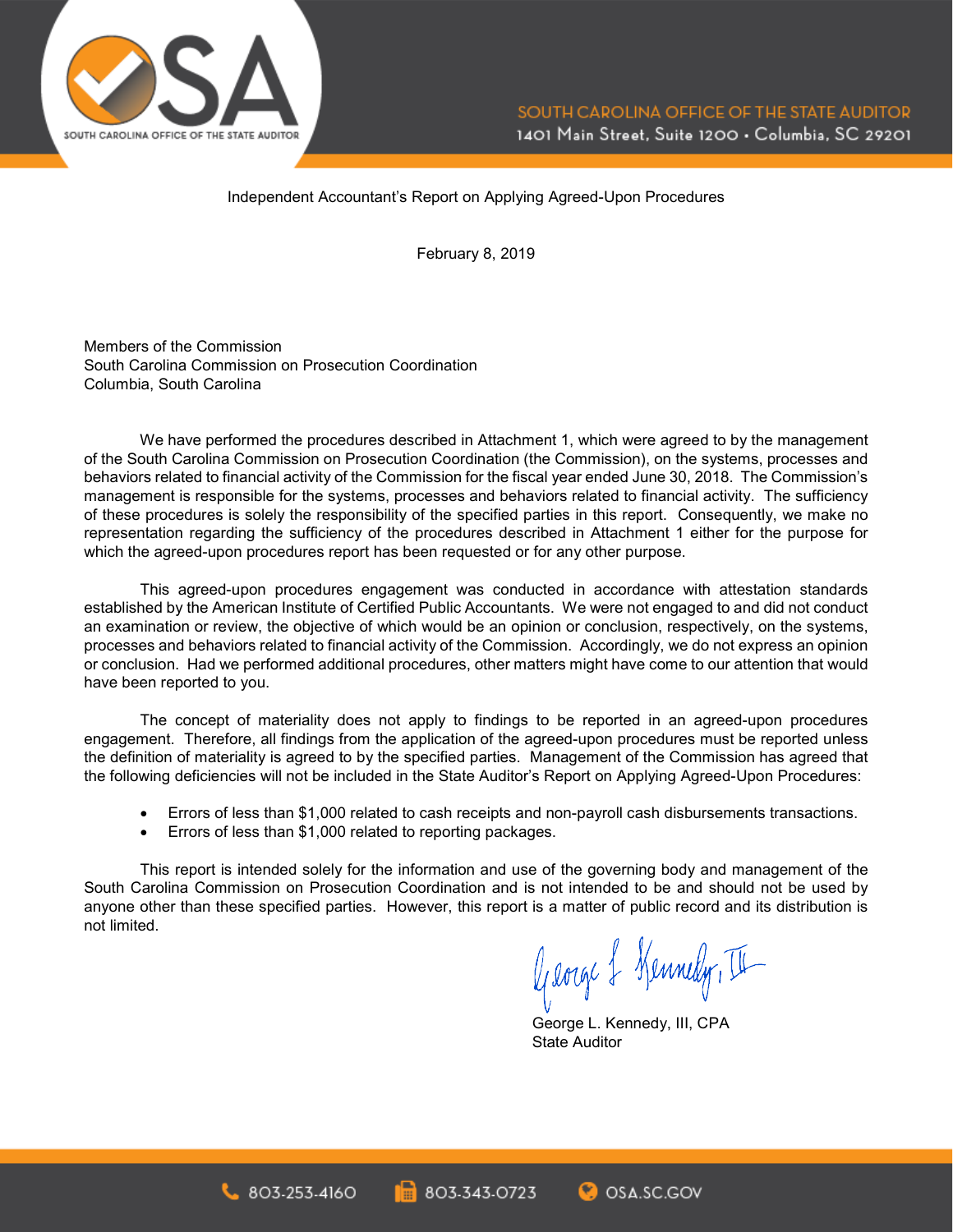

Independent Accountant's Report on Applying Agreed-Upon Procedures

February 8, 2019

Members of the Commission South Carolina Commission on Prosecution Coordination Columbia, South Carolina

We have performed the procedures described in Attachment 1, which were agreed to by the management of the South Carolina Commission on Prosecution Coordination (the Commission), on the systems, processes and behaviors related to financial activity of the Commission for the fiscal year ended June 30, 2018. The Commission's management is responsible for the systems, processes and behaviors related to financial activity. The sufficiency of these procedures is solely the responsibility of the specified parties in this report. Consequently, we make no representation regarding the sufficiency of the procedures described in Attachment 1 either for the purpose for which the agreed-upon procedures report has been requested or for any other purpose.

This agreed-upon procedures engagement was conducted in accordance with attestation standards established by the American Institute of Certified Public Accountants. We were not engaged to and did not conduct an examination or review, the objective of which would be an opinion or conclusion, respectively, on the systems, processes and behaviors related to financial activity of the Commission. Accordingly, we do not express an opinion or conclusion. Had we performed additional procedures, other matters might have come to our attention that would have been reported to you.

The concept of materiality does not apply to findings to be reported in an agreed-upon procedures engagement. Therefore, all findings from the application of the agreed-upon procedures must be reported unless the definition of materiality is agreed to by the specified parties. Management of the Commission has agreed that the following deficiencies will not be included in the State Auditor's Report on Applying Agreed-Upon Procedures:

- Errors of less than \$1,000 related to cash receipts and non-payroll cash disbursements transactions.
- Errors of less than \$1,000 related to reporting packages.

This report is intended solely for the information and use of the governing body and management of the South Carolina Commission on Prosecution Coordination and is not intended to be and should not be used by anyone other than these specified parties. However, this report is a matter of public record and its distribution is not limited.

George & Kennedy, II

George L. Kennedy, III, CPA State Auditor

**C**OSA SC.GOV

803-343-0723 803-253-4160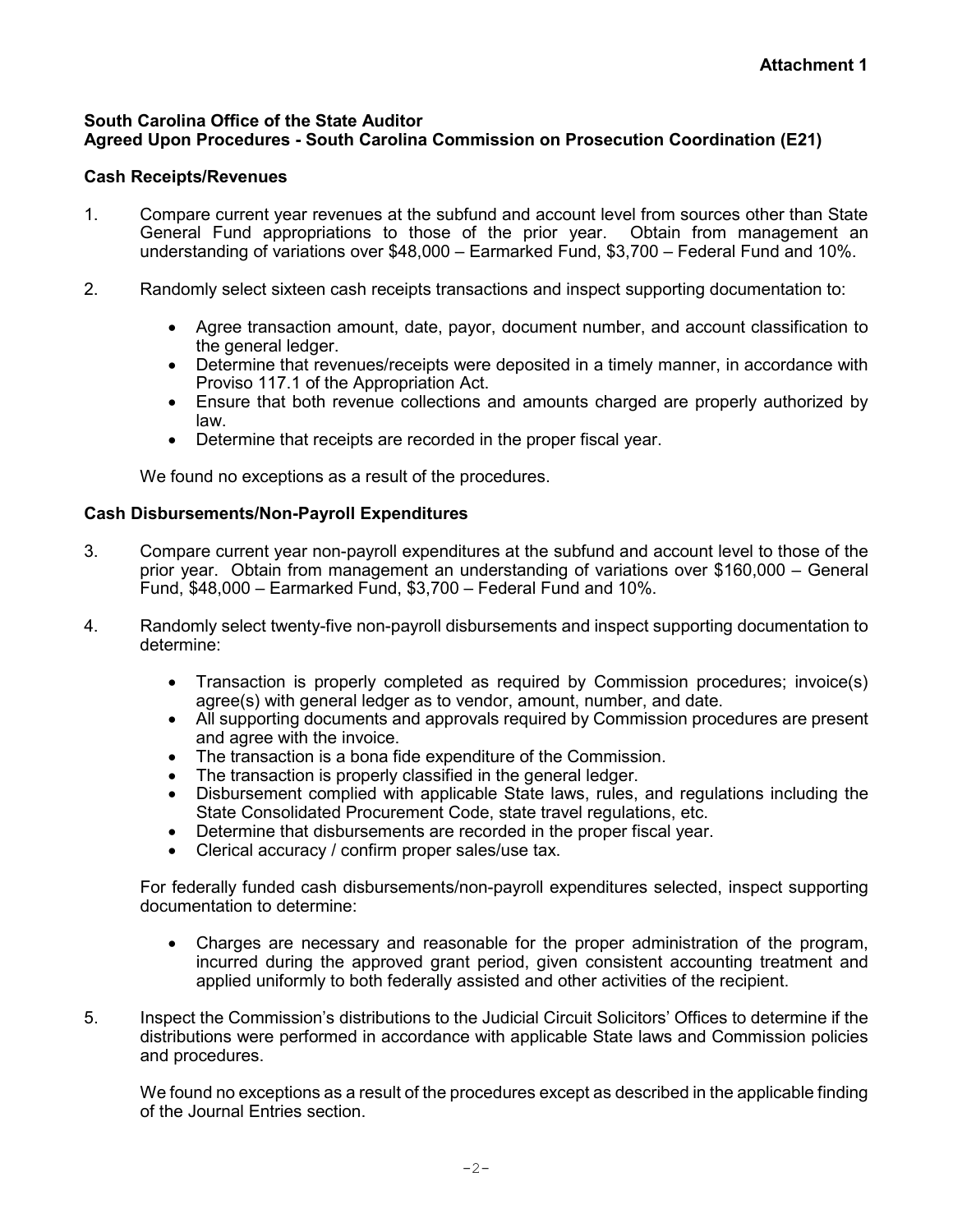#### **South Carolina Office of the State Auditor Agreed Upon Procedures - South Carolina Commission on Prosecution Coordination (E21)**

## **Cash Receipts/Revenues**

- 1. Compare current year revenues at the subfund and account level from sources other than State General Fund appropriations to those of the prior year. Obtain from management an understanding of variations over \$48,000 – Earmarked Fund, \$3,700 – Federal Fund and 10%.
- 2. Randomly select sixteen cash receipts transactions and inspect supporting documentation to:
	- Agree transaction amount, date, payor, document number, and account classification to the general ledger.
	- Determine that revenues/receipts were deposited in a timely manner, in accordance with Proviso 117.1 of the Appropriation Act.
	- Ensure that both revenue collections and amounts charged are properly authorized by law.
	- Determine that receipts are recorded in the proper fiscal year.

We found no exceptions as a result of the procedures.

### **Cash Disbursements/Non-Payroll Expenditures**

- 3. Compare current year non-payroll expenditures at the subfund and account level to those of the prior year. Obtain from management an understanding of variations over \$160,000 – General Fund, \$48,000 – Earmarked Fund, \$3,700 – Federal Fund and 10%.
- 4. Randomly select twenty-five non-payroll disbursements and inspect supporting documentation to determine:
	- Transaction is properly completed as required by Commission procedures; invoice(s) agree(s) with general ledger as to vendor, amount, number, and date.
	- All supporting documents and approvals required by Commission procedures are present and agree with the invoice.
	- The transaction is a bona fide expenditure of the Commission.
	- The transaction is properly classified in the general ledger.
	- Disbursement complied with applicable State laws, rules, and regulations including the State Consolidated Procurement Code, state travel regulations, etc.
	- Determine that disbursements are recorded in the proper fiscal year.
	- Clerical accuracy / confirm proper sales/use tax.

For federally funded cash disbursements/non-payroll expenditures selected, inspect supporting documentation to determine:

- Charges are necessary and reasonable for the proper administration of the program, incurred during the approved grant period, given consistent accounting treatment and applied uniformly to both federally assisted and other activities of the recipient.
- 5. Inspect the Commission's distributions to the Judicial Circuit Solicitors' Offices to determine if the distributions were performed in accordance with applicable State laws and Commission policies and procedures.

We found no exceptions as a result of the procedures except as described in the applicable finding of the Journal Entries section.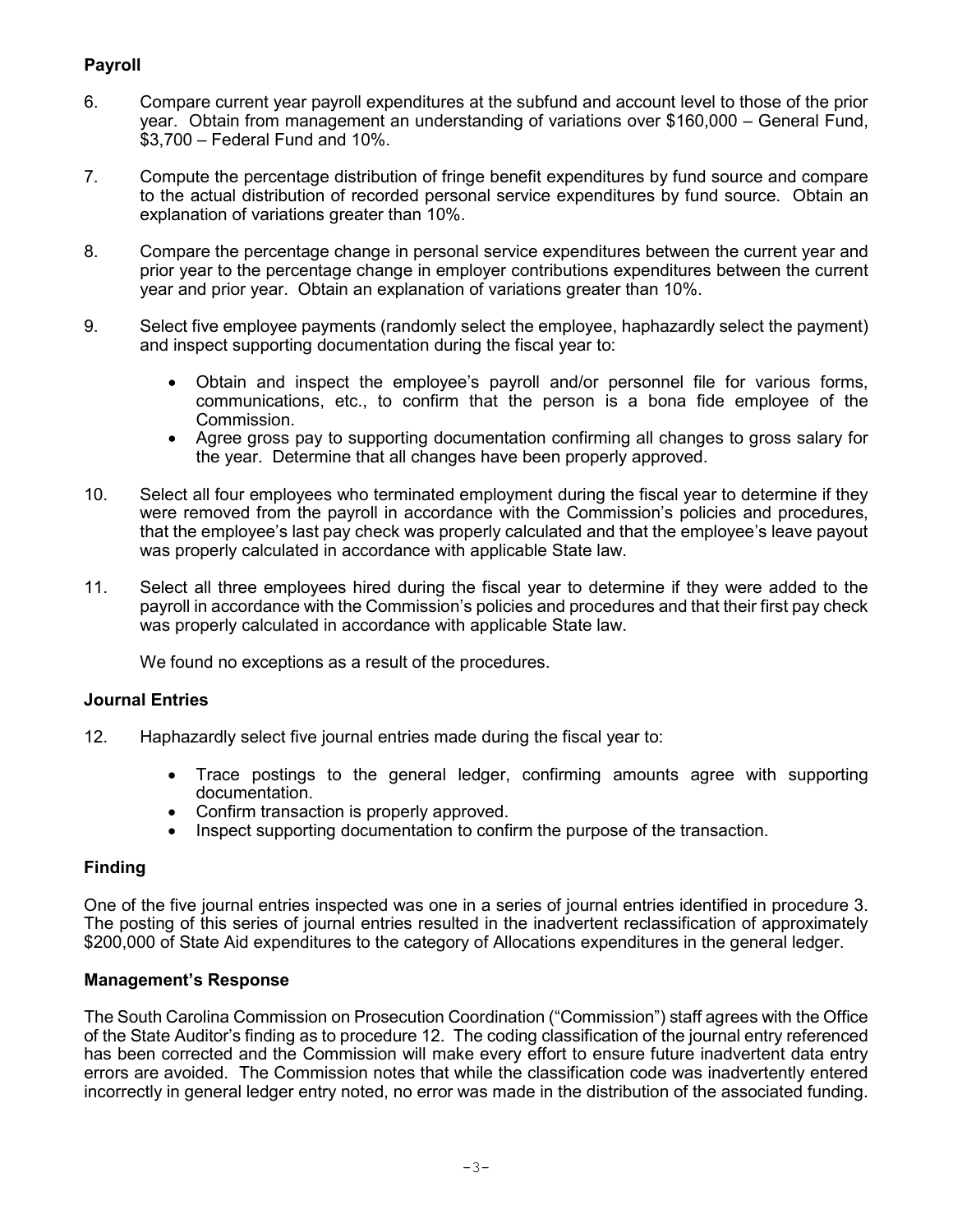# **Payroll**

- 6. Compare current year payroll expenditures at the subfund and account level to those of the prior year. Obtain from management an understanding of variations over \$160,000 – General Fund, \$3,700 – Federal Fund and 10%.
- 7. Compute the percentage distribution of fringe benefit expenditures by fund source and compare to the actual distribution of recorded personal service expenditures by fund source. Obtain an explanation of variations greater than 10%.
- 8. Compare the percentage change in personal service expenditures between the current year and prior year to the percentage change in employer contributions expenditures between the current year and prior year. Obtain an explanation of variations greater than 10%.
- 9. Select five employee payments (randomly select the employee, haphazardly select the payment) and inspect supporting documentation during the fiscal year to:
	- Obtain and inspect the employee's payroll and/or personnel file for various forms, communications, etc., to confirm that the person is a bona fide employee of the Commission.
	- Agree gross pay to supporting documentation confirming all changes to gross salary for the year. Determine that all changes have been properly approved.
- 10. Select all four employees who terminated employment during the fiscal year to determine if they were removed from the payroll in accordance with the Commission's policies and procedures, that the employee's last pay check was properly calculated and that the employee's leave payout was properly calculated in accordance with applicable State law.
- 11. Select all three employees hired during the fiscal year to determine if they were added to the payroll in accordance with the Commission's policies and procedures and that their first pay check was properly calculated in accordance with applicable State law.

We found no exceptions as a result of the procedures.

### **Journal Entries**

- 12. Haphazardly select five journal entries made during the fiscal year to:
	- Trace postings to the general ledger, confirming amounts agree with supporting documentation.
	- Confirm transaction is properly approved.
	- Inspect supporting documentation to confirm the purpose of the transaction.

### **Finding**

One of the five journal entries inspected was one in a series of journal entries identified in procedure 3. The posting of this series of journal entries resulted in the inadvertent reclassification of approximately \$200,000 of State Aid expenditures to the category of Allocations expenditures in the general ledger.

#### **Management's Response**

The South Carolina Commission on Prosecution Coordination ("Commission") staff agrees with the Office of the State Auditor's finding as to procedure 12. The coding classification of the journal entry referenced has been corrected and the Commission will make every effort to ensure future inadvertent data entry errors are avoided. The Commission notes that while the classification code was inadvertently entered incorrectly in general ledger entry noted, no error was made in the distribution of the associated funding.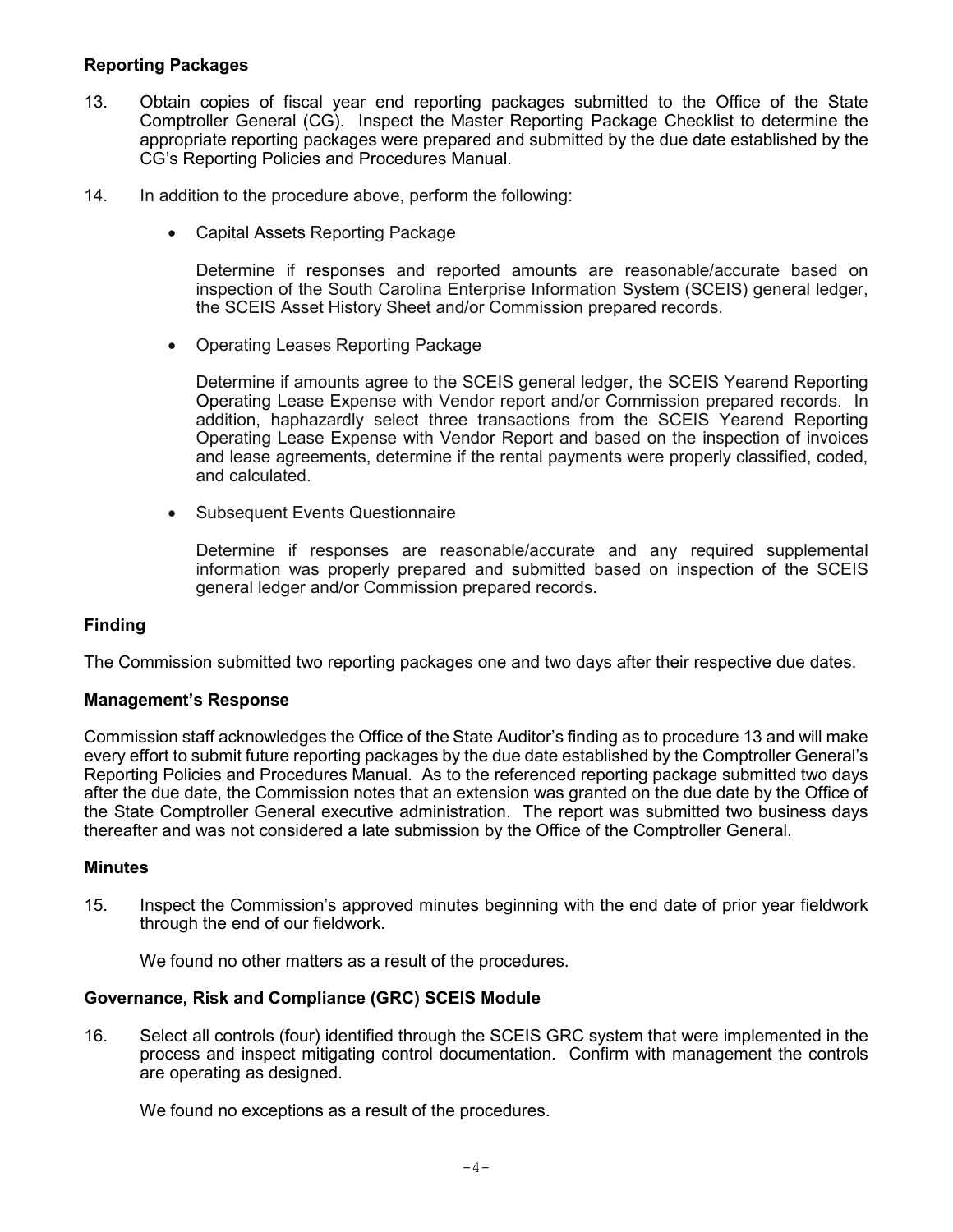### **Reporting Packages**

- 13. Obtain copies of fiscal year end reporting packages submitted to the Office of the State Comptroller General (CG). Inspect the Master Reporting Package Checklist to determine the appropriate reporting packages were prepared and submitted by the due date established by the CG's Reporting Policies and Procedures Manual.
- 14. In addition to the procedure above, perform the following:
	- Capital Assets Reporting Package

Determine if responses and reported amounts are reasonable/accurate based on inspection of the South Carolina Enterprise Information System (SCEIS) general ledger, the SCEIS Asset History Sheet and/or Commission prepared records.

• Operating Leases Reporting Package

Determine if amounts agree to the SCEIS general ledger, the SCEIS Yearend Reporting Operating Lease Expense with Vendor report and/or Commission prepared records. In addition, haphazardly select three transactions from the SCEIS Yearend Reporting Operating Lease Expense with Vendor Report and based on the inspection of invoices and lease agreements, determine if the rental payments were properly classified, coded, and calculated.

• Subsequent Events Questionnaire

Determine if responses are reasonable/accurate and any required supplemental information was properly prepared and submitted based on inspection of the SCEIS general ledger and/or Commission prepared records.

#### **Finding**

The Commission submitted two reporting packages one and two days after their respective due dates.

#### **Management's Response**

Commission staff acknowledges the Office of the State Auditor's finding as to procedure 13 and will make every effort to submit future reporting packages by the due date established by the Comptroller General's Reporting Policies and Procedures Manual. As to the referenced reporting package submitted two days after the due date, the Commission notes that an extension was granted on the due date by the Office of the State Comptroller General executive administration. The report was submitted two business days thereafter and was not considered a late submission by the Office of the Comptroller General.

#### **Minutes**

15. Inspect the Commission's approved minutes beginning with the end date of prior year fieldwork through the end of our fieldwork.

We found no other matters as a result of the procedures.

#### **Governance, Risk and Compliance (GRC) SCEIS Module**

16. Select all controls (four) identified through the SCEIS GRC system that were implemented in the process and inspect mitigating control documentation. Confirm with management the controls are operating as designed.

We found no exceptions as a result of the procedures.